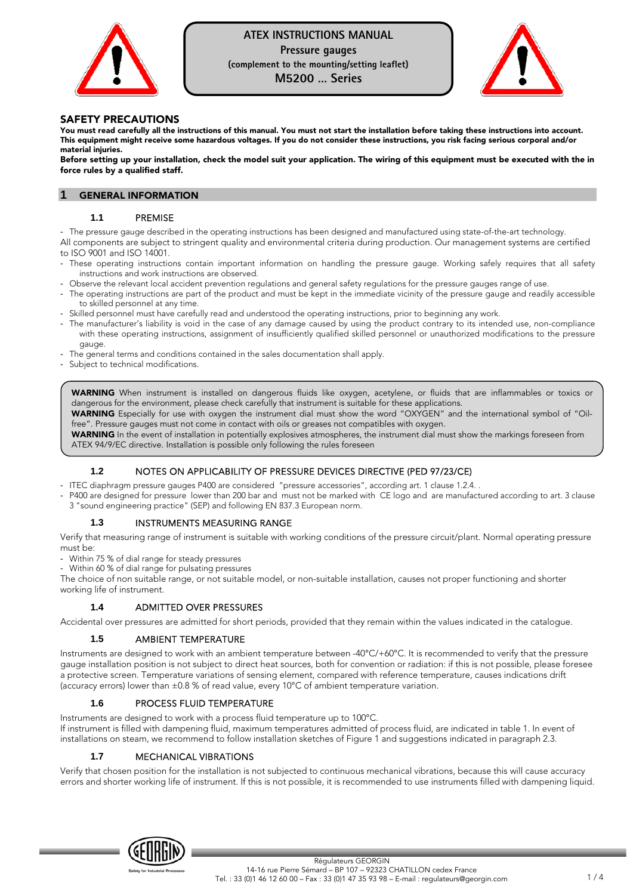

# **ATEX INSTRUCTIONS MANUAL Pressure gauges**

**(complement to the mounting/setting leaflet)** 

**M5200 … Series** 



### SAFETY PRECAUTIONS

You must read carefully all the instructions of this manual. You must not start the installation before taking these instructions into account. This equipment might receive some hazardous voltages. If you do not consider these instructions, you risk facing serious corporal and/or material injuries.

Before setting up your installation, check the model suit your application. The wiring of this equipment must be executed with the in force rules by a qualified staff.

#### **GENERAL INFORMATION**

### **1.1** PREMISE

- The pressure gauge described in the operating instructions has been designed and manufactured using state-of-the-art technology. All components are subject to stringent quality and environmental criteria during production. Our management systems are certified to ISO 9001 and ISO 14001.

- These operating instructions contain important information on handling the pressure gauge. Working safely requires that all safety instructions and work instructions are observed.
- Observe the relevant local accident prevention regulations and general safety regulations for the pressure gauges range of use.
- The operating instructions are part of the product and must be kept in the immediate vicinity of the pressure gauge and readily accessible to skilled personnel at any time.
- Skilled personnel must have carefully read and understood the operating instructions, prior to beginning any work.
- The manufacturer's liability is void in the case of any damage caused by using the product contrary to its intended use, non-compliance with these operating instructions, assignment of insufficiently qualified skilled personnel or unauthorized modifications to the pressure gauge.
- The general terms and conditions contained in the sales documentation shall apply.
- Subject to technical modifications.

WARNING When instrument is installed on dangerous fluids like oxygen, acetylene, or fluids that are inflammables or toxics or dangerous for the environment, please check carefully that instrument is suitable for these applications.

WARNING Especially for use with oxygen the instrument dial must show the word "OXYGEN" and the international symbol of "Oilfree". Pressure gauges must not come in contact with oils or greases not compatibles with oxygen.

WARNING In the event of installation in potentially explosives atmospheres, the instrument dial must show the markings foreseen from ATEX 94/9/EC directive. Installation is possible only following the rules foreseen

## **1.2** NOTES ON APPLICABILITY OF PRESSURE DEVICES DIRECTIVE (PED 97/23/CE)

- ITEC diaphragm pressure gauges P400 are considered "pressure accessories", according art. 1 clause 1.2.4. .
- P400 are designed for pressure lower than 200 bar and must not be marked with CE logo and are manufactured according to art. 3 clause 3 "sound engineering practice" (SEP) and following EN 837.3 European norm.

#### **1.3** INSTRUMENTS MEASURING RANGE

Verify that measuring range of instrument is suitable with working conditions of the pressure circuit/plant. Normal operating pressure must be:

- Within 75 % of dial range for steady pressures
- Within 60 % of dial range for pulsating pressures

The choice of non suitable range, or not suitable model, or non-suitable installation, causes not proper functioning and shorter working life of instrument.

## **1.4** ADMITTED OVER PRESSURES

Accidental over pressures are admitted for short periods, provided that they remain within the values indicated in the catalogue.

#### **1.5** AMBIENT TEMPERATURE

Instruments are designed to work with an ambient temperature between -40°C/+60°C. It is recommended to verify that the pressure gauge installation position is not subject to direct heat sources, both for convention or radiation: if this is not possible, please foresee a protective screen. Temperature variations of sensing element, compared with reference temperature, causes indications drift (accuracy errors) lower than ±0.8 % of read value, every 10°C of ambient temperature variation.

## **1.6** PROCESS FLUID TEMPERATURE

Instruments are designed to work with a process fluid temperature up to 100°C.

If instrument is filled with dampening fluid, maximum temperatures admitted of process fluid, are indicated in table 1. In event of installations on steam, we recommend to follow installation sketches of Figure 1 and suggestions indicated in paragraph 2.3.

### **1.7** MECHANICAL VIBRATIONS

Verify that chosen position for the installation is not subjected to continuous mechanical vibrations, because this will cause accuracy errors and shorter working life of instrument. If this is not possible, it is recommended to use instruments filled with dampening liquid.

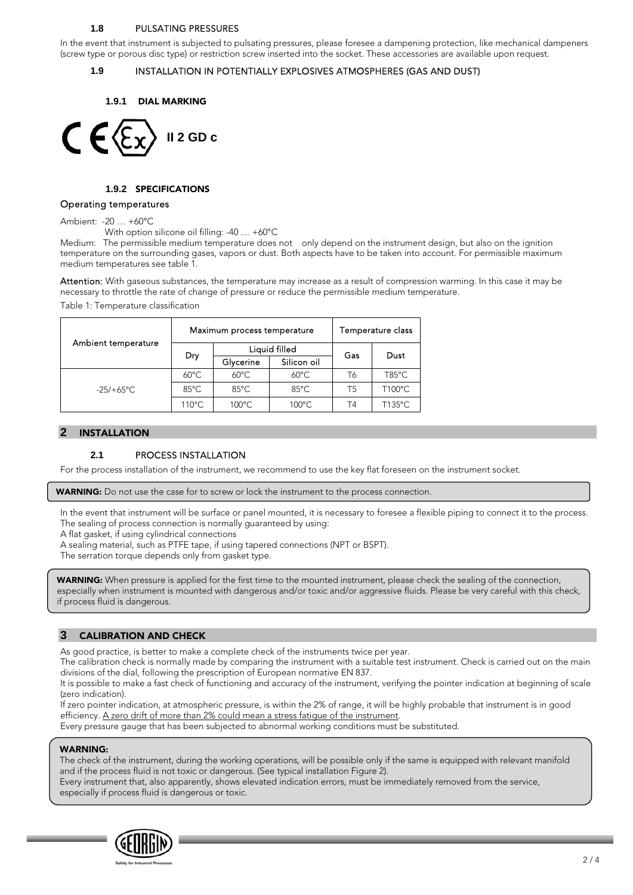## **1.8** PULSATING PRESSURES

In the event that instrument is subjected to pulsating pressures, please foresee a dampening protection, like mechanical dampeners (screw type or porous disc type) or restriction screw inserted into the socket. These accessories are available upon request.

### **1.9** INSTALLATION IN POTENTIALLY EXPLOSIVES ATMOSPHERES (GAS AND DUST)

**1.9.1** DIAL MARKING



## **1.9.2** SPECIFICATIONS

## Operating temperatures

Ambient: -20 … +60°C

With option silicone oil filling: -40 … +60°C

Medium: The permissible medium temperature does not only depend on the instrument design, but also on the ignition temperature on the surrounding gases, vapors or dust. Both aspects have to be taken into account. For permissible maximum medium temperatures see table 1.

Attention: With gaseous substances, the temperature may increase as a result of compression warming. In this case it may be necessary to throttle the rate of change of pressure or reduce the permissible medium temperature.

Table 1: Temperature classification

|                     |                 | Maximum process temperature | Temperature class |                |        |  |
|---------------------|-----------------|-----------------------------|-------------------|----------------|--------|--|
| Ambient temperature | Dry             |                             | Liquid filled     | Gas            | Dust   |  |
|                     |                 | Glycerine                   | Silicon oil       |                |        |  |
|                     | $60^{\circ}$ C  | $60^{\circ}$ C              | $60^{\circ}$ C    | T6             | T85°C  |  |
| $-25/+65^{\circ}$ C | $85^{\circ}$ C  | $85^{\circ}$ C              | $85^{\circ}$ C    | T5             | T100°C |  |
|                     | $110^{\circ}$ C | $100^{\circ}$ C             | $100^{\circ}$ C   | T <sub>4</sub> | T135°C |  |

#### **2** INSTALLATION

#### **2.1** PROCESS INSTALLATION

For the process installation of the instrument, we recommend to use the key flat foreseen on the instrument socket.

WARNING: Do not use the case for to screw or lock the instrument to the process connection.

In the event that instrument will be surface or panel mounted, it is necessary to foresee a flexible piping to connect it to the process. The sealing of process connection is normally guaranteed by using:

A flat gasket, if using cylindrical connections

A sealing material, such as PTFE tape, if using tapered connections (NPT or BSPT).

The serration torque depends only from gasket type.

WARNING: When pressure is applied for the first time to the mounted instrument, please check the sealing of the connection, especially when instrument is mounted with dangerous and/or toxic and/or aggressive fluids. Please be very careful with this check, if process fluid is dangerous.

## **3** CALIBRATION AND CHECK

As good practice, is better to make a complete check of the instruments twice per year.

The calibration check is normally made by comparing the instrument with a suitable test instrument. Check is carried out on the main divisions of the dial, following the prescription of European normative EN 837.

It is possible to make a fast check of functioning and accuracy of the instrument, verifying the pointer indication at beginning of scale (zero indication).

If zero pointer indication, at atmospheric pressure, is within the 2% of range, it will be highly probable that instrument is in good efficiency. A zero drift of more than 2% could mean a stress fatigue of the instrument.

Every pressure gauge that has been subjected to abnormal working conditions must be substituted.

#### WARNING:

The check of the instrument, during the working operations, will be possible only if the same is equipped with relevant manifold and if the process fluid is not toxic or dangerous. (See typical installation Figure 2).

Every instrument that, also apparently, shows elevated indication errors, must be immediately removed from the service, especially if process fluid is dangerous or toxic.

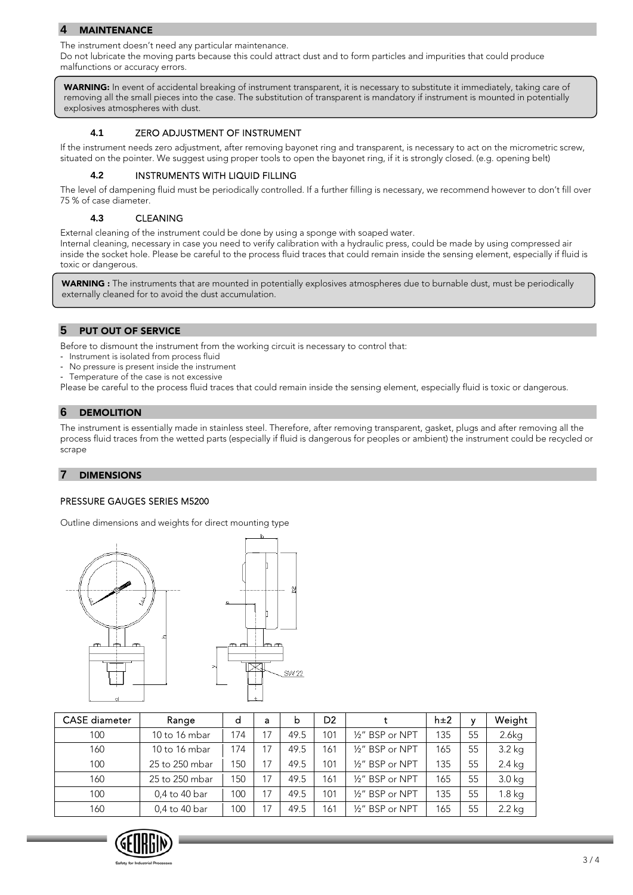## **4** MAINTENANCE

The instrument doesn't need any particular maintenance.

Do not lubricate the moving parts because this could attract dust and to form particles and impurities that could produce malfunctions or accuracy errors.

WARNING: In event of accidental breaking of instrument transparent, it is necessary to substitute it immediately, taking care of removing all the small pieces into the case. The substitution of transparent is mandatory if instrument is mounted in potentially explosives atmospheres with dust.

## **4.1** ZERO ADJUSTMENT OF INSTRUMENT

If the instrument needs zero adjustment, after removing bayonet ring and transparent, is necessary to act on the micrometric screw, situated on the pointer. We suggest using proper tools to open the bayonet ring, if it is strongly closed. (e.g. opening belt)

## **4.2** INSTRUMENTS WITH LIQUID FILLING

The level of dampening fluid must be periodically controlled. If a further filling is necessary, we recommend however to don't fill over 75 % of case diameter.

## **4.3** CLEANING

External cleaning of the instrument could be done by using a sponge with soaped water.

Internal cleaning, necessary in case you need to verify calibration with a hydraulic press, could be made by using compressed air inside the socket hole. Please be careful to the process fluid traces that could remain inside the sensing element, especially if fluid is toxic or dangerous.

WARNING : The instruments that are mounted in potentially explosives atmospheres due to burnable dust, must be periodically externally cleaned for to avoid the dust accumulation.

## **5** PUT OUT OF SERVICE

Before to dismount the instrument from the working circuit is necessary to control that:

- Instrument is isolated from process fluid
- No pressure is present inside the instrument
- Temperature of the case is not excessive
- Please be careful to the process fluid traces that could remain inside the sensing element, especially fluid is toxic or dangerous.

## **6** DEMOLITION

The instrument is essentially made in stainless steel. Therefore, after removing transparent, gasket, plugs and after removing all the process fluid traces from the wetted parts (especially if fluid is dangerous for peoples or ambient) the instrument could be recycled or scrape

## **7** DIMENSIONS

## PRESSURE GAUGES SERIES M5200

Outline dimensions and weights for direct mounting type



| <b>CASE</b> diameter | Range          | d   | a  | b    | D <sub>2</sub> |                 | h±2 | v  | Weight   |
|----------------------|----------------|-----|----|------|----------------|-----------------|-----|----|----------|
| 100                  | 10 to 16 mbar  | 174 | 17 | 49.5 | 101            | 1/2" BSP or NPT | 135 | 55 | 2.6kg    |
| 160                  | 10 to 16 mbar  | 174 | 17 | 49.5 | 161            | 1/2" BSP or NPT | 165 | 55 | $3.2$ kg |
| 100                  | 25 to 250 mbar | 150 | 17 | 49.5 | 101            | 1/2" BSP or NPT | 135 | 55 | $2.4$ kg |
| 160                  | 25 to 250 mbar | 150 | 17 | 49.5 | 161            | 1/2" BSP or NPT | 165 | 55 | $3.0$ kg |
| 100                  | 0,4 to 40 bar  | 100 | 17 | 49.5 | 101            | 1/2" BSP or NPT | 135 | 55 | 1.8 kg   |
| 160                  | 0,4 to 40 bar  | 100 |    | 49.5 | 161            | 1/2" BSP or NPT | 165 | 55 | 2.2 kg   |